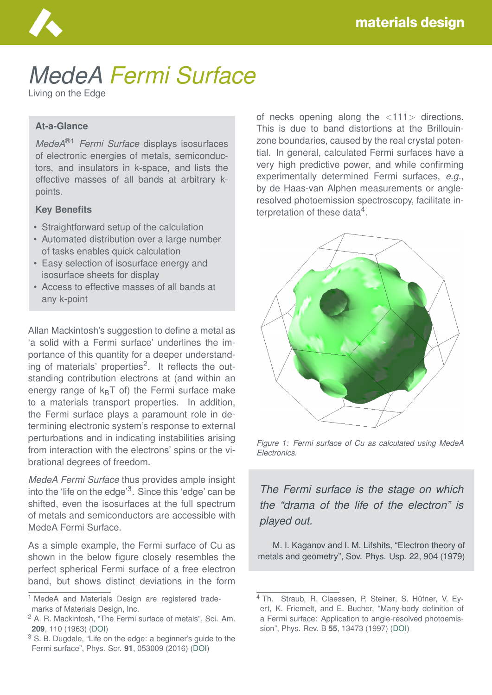

# *MedeA Fermi Surface*

Living on the Edge

#### **At-a-Glance**

*MedeA*®1 *Fermi Surface* displays isosurfaces of electronic energies of metals, semiconductors, and insulators in k-space, and lists the effective masses of all bands at arbitrary kpoints.

#### **Key Benefits**

- Straightforward setup of the calculation
- Automated distribution over a large number of tasks enables quick calculation
- Easy selection of isosurface energy and isosurface sheets for display
- Access to effective masses of all bands at any k-point

Allan Mackintosh's suggestion to define a metal as 'a solid with a Fermi surface' underlines the importance of this quantity for a deeper understanding of materials' properties<sup>2</sup>. It reflects the outstanding contribution electrons at (and within an energy range of  $k_BT$  of) the Fermi surface make to a materials transport properties. In addition, the Fermi surface plays a paramount role in determining electronic system's response to external perturbations and in indicating instabilities arising from interaction with the electrons' spins or the vibrational degrees of freedom.

*MedeA Fermi Surface* thus provides ample insight into the 'life on the edge'<sup>3</sup>. Since this 'edge' can be shifted, even the isosurfaces at the full spectrum of metals and semiconductors are accessible with MedeA Fermi Surface.

As a simple example, the Fermi surface of Cu as shown in the below figure closely resembles the perfect spherical Fermi surface of a free electron band, but shows distinct deviations in the form

of necks opening along the <111> directions. This is due to band distortions at the Brillouinzone boundaries, caused by the real crystal potential. In general, calculated Fermi surfaces have a very high predictive power, and while confirming experimentally determined Fermi surfaces, *e.g.*, by de Haas-van Alphen measurements or angleresolved photoemission spectroscopy, facilitate interpretation of these data<sup>4</sup>.



*Figure 1: Fermi surface of Cu as calculated using MedeA Electronics.*

*The Fermi surface is the stage on which the "drama of the life of the electron" is played out.*

M. I. Kaganov and I. M. Lifshits, "Electron theory of metals and geometry", Sov. Phys. Usp. 22, 904 (1979)

<sup>&</sup>lt;sup>1</sup> MedeA and Materials Design are registered trademarks of Materials Design, Inc.

<sup>2</sup> A. R. Mackintosh, "The Fermi surface of metals", Sci. Am. **209**, 110 (1963) [\(DOI\)](https://doi.org/10.1038/scientificamerican0763-110)

<sup>&</sup>lt;sup>3</sup> S. B. Dugdale, "Life on the edge: a beginner's guide to the Fermi surface", Phys. Scr. **91**, 053009 (2016) [\(DOI\)](https://doi.org/10.1088/0031-8949/91/5/053009)

<sup>&</sup>lt;sup>4</sup> Th. Straub, R. Claessen, P. Steiner, S. Hüfner, V. Eyert, K. Friemelt, and E. Bucher, "Many-body definition of a Fermi surface: Application to angle-resolved photoemission", Phys. Rev. B **55**, 13473 (1997) [\(DOI\)](https://doi.org/10.1103/PhysRevB.55.13473)